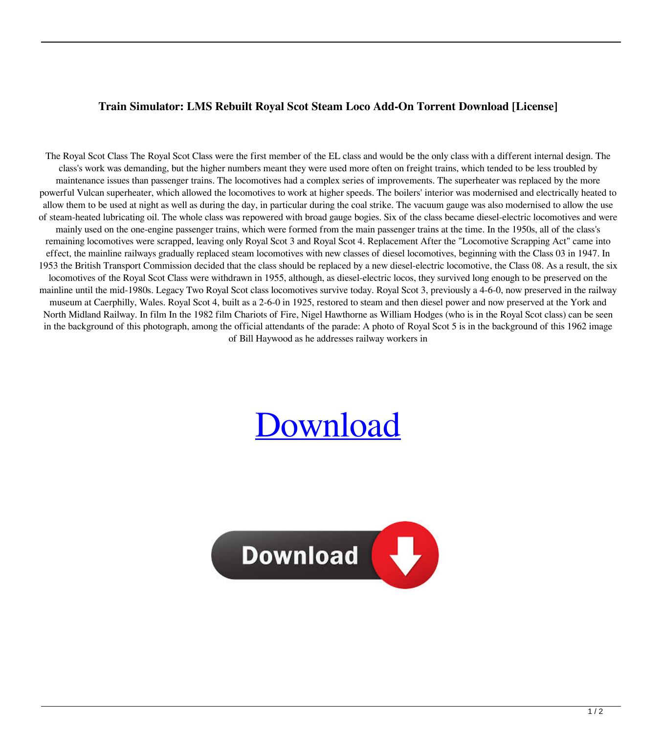## **Train Simulator: LMS Rebuilt Royal Scot Steam Loco Add-On Torrent Download [License]**

The Royal Scot Class The Royal Scot Class were the first member of the EL class and would be the only class with a different internal design. The class's work was demanding, but the higher numbers meant they were used more often on freight trains, which tended to be less troubled by maintenance issues than passenger trains. The locomotives had a complex series of improvements. The superheater was replaced by the more powerful Vulcan superheater, which allowed the locomotives to work at higher speeds. The boilers' interior was modernised and electrically heated to allow them to be used at night as well as during the day, in particular during the coal strike. The vacuum gauge was also modernised to allow the use of steam-heated lubricating oil. The whole class was repowered with broad gauge bogies. Six of the class became diesel-electric locomotives and were mainly used on the one-engine passenger trains, which were formed from the main passenger trains at the time. In the 1950s, all of the class's remaining locomotives were scrapped, leaving only Royal Scot 3 and Royal Scot 4. Replacement After the "Locomotive Scrapping Act" came into effect, the mainline railways gradually replaced steam locomotives with new classes of diesel locomotives, beginning with the Class 03 in 1947. In 1953 the British Transport Commission decided that the class should be replaced by a new diesel-electric locomotive, the Class 08. As a result, the six locomotives of the Royal Scot Class were withdrawn in 1955, although, as diesel-electric locos, they survived long enough to be preserved on the mainline until the mid-1980s. Legacy Two Royal Scot class locomotives survive today. Royal Scot 3, previously a 4-6-0, now preserved in the railway museum at Caerphilly, Wales. Royal Scot 4, built as a 2-6-0 in 1925, restored to steam and then diesel power and now preserved at the York and North Midland Railway. In film In the 1982 film Chariots of Fire, Nigel Hawthorne as William Hodges (who is in the Royal Scot class) can be seen in the background of this photograph, among the official attendants of the parade: A photo of Royal Scot 5 is in the background of this 1962 image of Bill Haywood as he addresses railway workers in

## [Download](http://evacdir.com/bachelors/evanovich&VHJhaW4gU2ltdWxhdG9yOiBMTVMgUmVidWlsdCBSb3lhbCBTY290IFN0ZWFtIExvY28gQWRkLU9uIFRvcnJlbnQgRG93bmxvYWQgW0xpY2Vuc2VdVHJ&illgauskas/ZG93bmxvYWR8ak0wTVhVM05YeDhNVFkxTWpRMk16QTFNSHg4TWpVM05IeDhLRTBwSUhKbFlXUXRZbXh2WnlCYlJtRnpkQ0JIUlU1ZA/guyana)